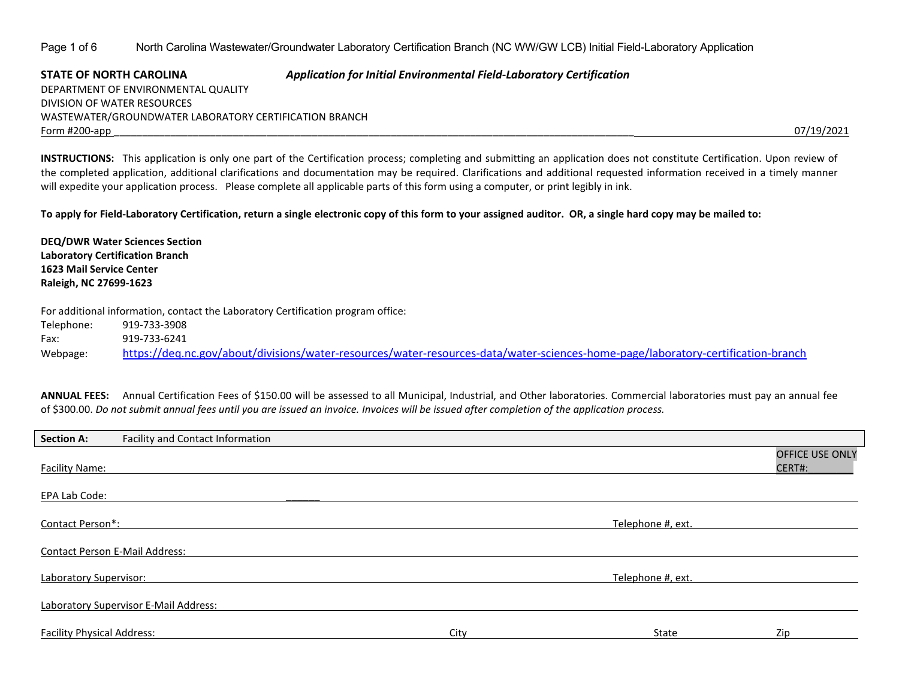Page 1 of 6 North Carolina Wastewater/Groundwater Laboratory Certification Branch (NC WW/GW LCB) Initial Field-Laboratory Application

**STATE OF NORTH CAROLINA** *Application for Initial Environmental Field-Laboratory Certification* DEPARTMENT OF ENVIRONMENTAL QUALITY DIVISION OF WATER RESOURCES WASTEWATER/GROUNDWATER LABORATORY CERTIFICATION BRANCH Form #200-app \_\_\_\_\_\_\_\_\_\_\_\_\_\_\_\_\_\_\_\_\_\_\_\_\_\_\_\_\_\_\_\_\_\_\_\_\_\_\_\_\_\_\_\_\_\_\_\_\_\_\_\_\_\_\_\_\_\_\_\_\_\_\_\_\_\_\_\_\_\_\_\_\_\_\_\_\_\_\_\_\_\_\_\_\_\_\_\_\_\_\_\_ 07/19/2021

**INSTRUCTIONS:** This application is only one part of the Certification process; completing and submitting an application does not constitute Certification. Upon review of the completed application, additional clarifications and documentation may be required. Clarifications and additional requested information received in a timely manner will expedite your application process. Please complete all applicable parts of this form using a computer, or print legibly in ink.

**To apply for Field-Laboratory Certification, return a single electronic copy of this form to your assigned auditor. OR, a single hard copy may be mailed to:** 

**DEQ/DWR Water Sciences Section Laboratory Certification Branch 1623 Mail Service Center Raleigh, NC 27699-1623**

For additional information, contact the Laboratory Certification program office: Telephone: 919-733-3908 Fax: 919-733-6241 Webpage: <https://deq.nc.gov/about/divisions/water-resources/water-resources-data/water-sciences-home-page/laboratory-certification-branch>

ANNUAL FEES: Annual Certification Fees of \$150.00 will be assessed to all Municipal, Industrial, and Other laboratories. Commercial laboratories must pay an annual fee of \$300.00. *Do not submit annual fees until you are issued an invoice. Invoices will be issued after completion of the application process.* 

| <b>Section A:</b>                     | Facility and Contact Information      |      |                   |                           |
|---------------------------------------|---------------------------------------|------|-------------------|---------------------------|
| Facility Name:                        |                                       |      |                   | OFFICE USE ONLY<br>CERT#: |
| EPA Lab Code:                         |                                       |      |                   |                           |
| Contact Person*:                      |                                       |      | Telephone #, ext. |                           |
| <b>Contact Person E-Mail Address:</b> |                                       |      |                   |                           |
| Laboratory Supervisor:                |                                       |      | Telephone #, ext. |                           |
|                                       | Laboratory Supervisor E-Mail Address: |      |                   |                           |
| <b>Facility Physical Address:</b>     |                                       | City | State             | Zip                       |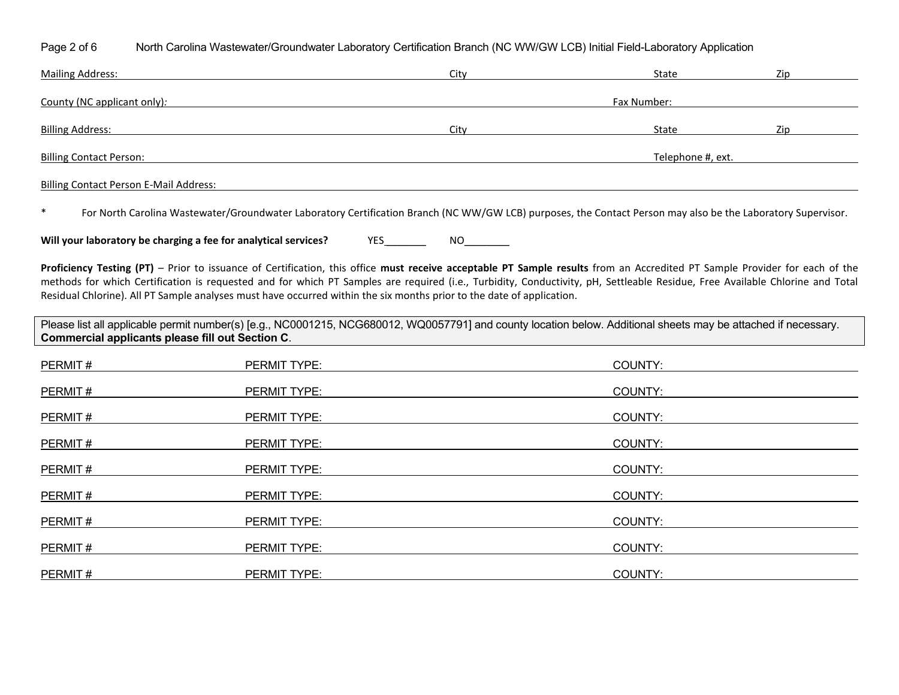Page 2 of 6 North Carolina Wastewater/Groundwater Laboratory Certification Branch (NC WW/GW LCB) Initial Field-Laboratory Application

| <b>Mailing Address:</b>                       | City | State             | Zip |
|-----------------------------------------------|------|-------------------|-----|
| County (NC applicant only):                   |      | Fax Number:       |     |
|                                               |      |                   |     |
| <b>Billing Address:</b>                       | City | State             | Zip |
| <b>Billing Contact Person:</b>                |      | Telephone #, ext. |     |
| <b>Billing Contact Person E-Mail Address:</b> |      |                   |     |

\* For North Carolina Wastewater/Groundwater Laboratory Certification Branch (NC WW/GW LCB) purposes, the Contact Person may also be the Laboratory Supervisor.

**Will your laboratory be charging a fee for analytical services?** YES \_\_\_\_\_\_\_ NO\_\_\_\_\_\_\_\_

**Proficiency Testing (PT)** – Prior to issuance of Certification, this office **must receive acceptable PT Sample results** from an Accredited PT Sample Provider for each of the methods for which Certification is requested and for which PT Samples are required (i.e., Turbidity, Conductivity, pH, Settleable Residue, Free Available Chlorine and Total Residual Chlorine). All PT Sample analyses must have occurred within the six months prior to the date of application.

Please list all applicable permit number(s) [e.g., NC0001215, NCG680012, WQ0057791] and county location below. Additional sheets may be attached if necessary. **Commercial applicants please fill out Section C**.

| PERMIT# | PERMIT TYPE:        | COUNTY: |
|---------|---------------------|---------|
| PERMIT# | PERMIT TYPE:        | COUNTY: |
| PERMIT# | PERMIT TYPE:        | COUNTY: |
| PERMIT# | PERMIT TYPE:        | COUNTY: |
| PERMIT# | PERMIT TYPE:        | COUNTY: |
| PERMIT# | PERMIT TYPE:        | COUNTY: |
| PERMIT# | PERMIT TYPE:        | COUNTY: |
| PERMIT# | <b>PERMIT TYPE:</b> | COUNTY: |
| PERMIT# | <b>PERMIT TYPE:</b> | COUNTY: |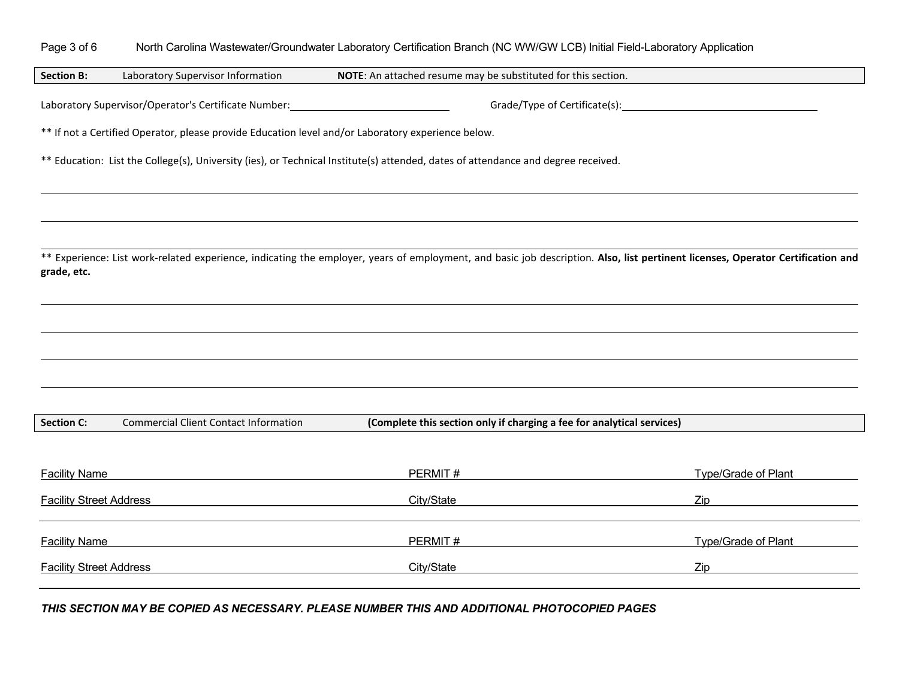## Page 3 of 6 North Carolina Wastewater/Groundwater Laboratory Certification Branch (NC WW/GW LCB) Initial Field-Laboratory Application

**Section B:** Laboratory Supervisor Information **NOTE**: An attached resume may be substituted for this section.

Laboratory Supervisor/Operator's Certificate Number: Grade/Type of Certificate(s):

\*\* If not a Certified Operator, please provide Education level and/or Laboratory experience below.

\*\* Education: List the College(s), University (ies), or Technical Institute(s) attended, dates of attendance and degree received.

\*\* Experience: List work-related experience, indicating the employer, years of employment, and basic job description. **Also, list pertinent licenses, Operator Certification and grade, etc.**

| <b>Section C:</b> | Commercial Client Contact Information | (Complete this section only if charging a fee for analytical services) |
|-------------------|---------------------------------------|------------------------------------------------------------------------|
|-------------------|---------------------------------------|------------------------------------------------------------------------|

| <b>Facility Name</b>           | PERMIT#    | Type/Grade of Plant |
|--------------------------------|------------|---------------------|
| <b>Facility Street Address</b> | City/State | Zip                 |
| <b>Facility Name</b>           | PERMIT#    | Type/Grade of Plant |
| <b>Facility Street Address</b> | City/State | Zip                 |

*THIS SECTION MAY BE COPIED AS NECESSARY. PLEASE NUMBER THIS AND ADDITIONAL PHOTOCOPIED PAGES*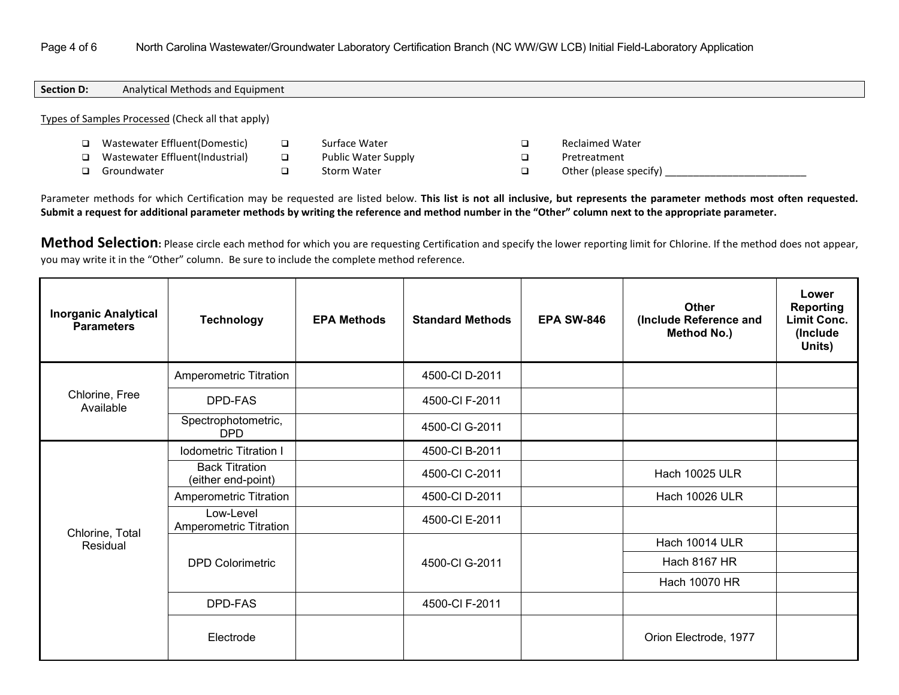## Page 4 of 6 North Carolina Wastewater/Groundwater Laboratory Certification Branch (NC WW/GW LCB) Initial Field-Laboratory Application

| Section D:                                        | Analytical Methods and Equipment |  |               |  |  |                 |  |
|---------------------------------------------------|----------------------------------|--|---------------|--|--|-----------------|--|
| Types of Samples Processed (Check all that apply) |                                  |  |               |  |  |                 |  |
|                                                   | Wastewater Effluent(Domestic)    |  | Surface Water |  |  | Reclaimed Water |  |

- Wastewater Effluent(Domestic) Wastewater Effluent(Industrial)
- Groundwater
- □ Public Water Supply
- □ Storm Water

□ Reclaimed Water **Q** Pretreatment

□ Other (please specify)

Parameter methods for which Certification may be requested are listed below. **This list is not all inclusive, but represents the parameter methods most often requested. Submit a request for additional parameter methods by writing the reference and method number in the "Other" column next to the appropriate parameter.**

Method Selection: Please circle each method for which you are requesting Certification and specify the lower reporting limit for Chlorine. If the method does not appear, you may write it in the "Other" column. Be sure to include the complete method reference.

| <b>Inorganic Analytical</b><br><b>Parameters</b> | <b>Technology</b>                           | <b>EPA Methods</b> | <b>Standard Methods</b> | <b>EPA SW-846</b> | <b>Other</b><br>(Include Reference and<br>Method No.) | Lower<br><b>Reporting</b><br><b>Limit Conc.</b><br>(Include<br>Units) |
|--------------------------------------------------|---------------------------------------------|--------------------|-------------------------|-------------------|-------------------------------------------------------|-----------------------------------------------------------------------|
|                                                  | Amperometric Titration                      |                    | 4500-CI D-2011          |                   |                                                       |                                                                       |
| Chlorine, Free<br>Available                      | DPD-FAS                                     |                    | 4500-CI F-2011          |                   |                                                       |                                                                       |
|                                                  | Spectrophotometric,<br><b>DPD</b>           |                    | 4500-CI G-2011          |                   |                                                       |                                                                       |
|                                                  | <b>Iodometric Titration I</b>               |                    | 4500-CI B-2011          |                   |                                                       |                                                                       |
|                                                  | <b>Back Titration</b><br>(either end-point) |                    | 4500-CI C-2011          |                   | <b>Hach 10025 ULR</b>                                 |                                                                       |
|                                                  | Amperometric Titration                      |                    | 4500-CI D-2011          |                   | <b>Hach 10026 ULR</b>                                 |                                                                       |
| Chlorine, Total                                  | Low-Level<br>Amperometric Titration         |                    | 4500-CI E-2011          |                   |                                                       |                                                                       |
| Residual                                         |                                             |                    |                         |                   | <b>Hach 10014 ULR</b>                                 |                                                                       |
|                                                  | <b>DPD Colorimetric</b>                     |                    | 4500-CI G-2011          |                   | <b>Hach 8167 HR</b>                                   |                                                                       |
|                                                  |                                             |                    |                         |                   | Hach 10070 HR                                         |                                                                       |
|                                                  | DPD-FAS                                     |                    | 4500-CI F-2011          |                   |                                                       |                                                                       |
|                                                  | Electrode                                   |                    |                         |                   | Orion Electrode, 1977                                 |                                                                       |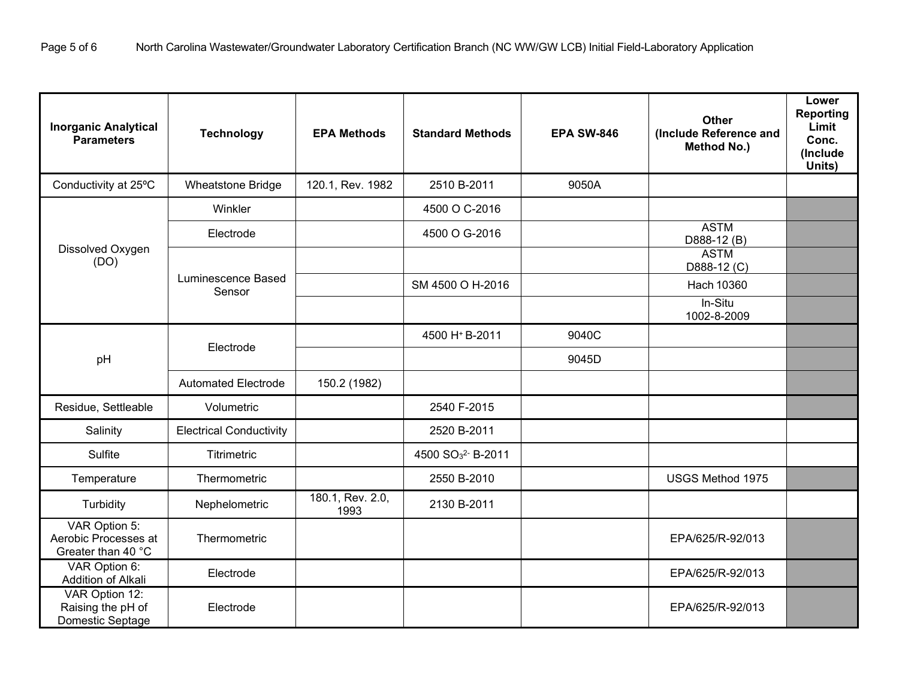| <b>Inorganic Analytical</b><br><b>Parameters</b>            | <b>Technology</b>              | <b>EPA Methods</b>       | <b>Standard Methods</b>                  | <b>EPA SW-846</b> | <b>Other</b><br>(Include Reference and<br>Method No.) | Lower<br><b>Reporting</b><br>Limit<br>Conc.<br>(Include<br>Units) |
|-------------------------------------------------------------|--------------------------------|--------------------------|------------------------------------------|-------------------|-------------------------------------------------------|-------------------------------------------------------------------|
| Conductivity at 25°C                                        | Wheatstone Bridge              | 120.1, Rev. 1982         | 2510 B-2011                              | 9050A             |                                                       |                                                                   |
|                                                             | Winkler                        |                          | 4500 O C-2016                            |                   |                                                       |                                                                   |
|                                                             | Electrode                      |                          | 4500 O G-2016                            |                   | <b>ASTM</b><br>D888-12 (B)                            |                                                                   |
| Dissolved Oxygen<br>(DO)                                    |                                |                          |                                          |                   | <b>ASTM</b><br>D888-12 (C)                            |                                                                   |
|                                                             | Luminescence Based<br>Sensor   |                          | SM 4500 O H-2016                         |                   | Hach 10360                                            |                                                                   |
|                                                             |                                |                          |                                          |                   | In-Situ<br>1002-8-2009                                |                                                                   |
|                                                             |                                |                          | 4500 H <sup>+</sup> B-2011               | 9040C             |                                                       |                                                                   |
| pH                                                          | Electrode                      |                          |                                          | 9045D             |                                                       |                                                                   |
|                                                             | <b>Automated Electrode</b>     | 150.2 (1982)             |                                          |                   |                                                       |                                                                   |
| Residue, Settleable                                         | Volumetric                     |                          | 2540 F-2015                              |                   |                                                       |                                                                   |
| Salinity                                                    | <b>Electrical Conductivity</b> |                          | 2520 B-2011                              |                   |                                                       |                                                                   |
| Sulfite                                                     | <b>Titrimetric</b>             |                          | 4500 SO <sub>3</sub> <sup>2</sup> B-2011 |                   |                                                       |                                                                   |
| Temperature                                                 | Thermometric                   |                          | 2550 B-2010                              |                   | USGS Method 1975                                      |                                                                   |
| Turbidity                                                   | Nephelometric                  | 180.1, Rev. 2.0,<br>1993 | 2130 B-2011                              |                   |                                                       |                                                                   |
| VAR Option 5:<br>Aerobic Processes at<br>Greater than 40 °C | Thermometric                   |                          |                                          |                   | EPA/625/R-92/013                                      |                                                                   |
| VAR Option 6:<br>Addition of Alkali                         | Electrode                      |                          |                                          |                   | EPA/625/R-92/013                                      |                                                                   |
| VAR Option 12:<br>Raising the pH of<br>Domestic Septage     | Electrode                      |                          |                                          |                   | EPA/625/R-92/013                                      |                                                                   |